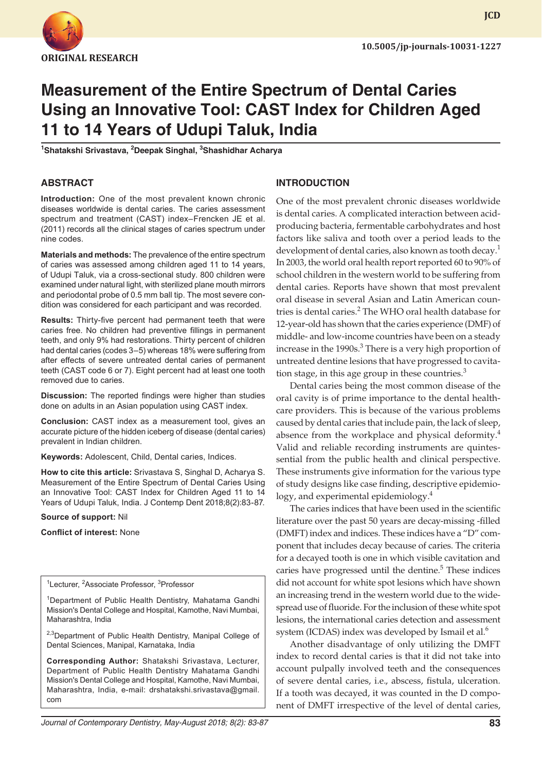

**JCD**

# **Measurement of the Entire Spectrum of Dental Caries Using an Innovative Tool: CAST Index for Children Aged 11 to 14 Years of Udupi Taluk, India**

**1 Shatakshi Srivastava, <sup>2</sup> Deepak Singhal, 3 Shashidhar Acharya**

#### **ABSTRACT**

**Introduction:** One of the most prevalent known chronic diseases worldwide is dental caries. The caries assessment spectrum and treatment (CAST) index–Frencken JE et al. (2011) records all the clinical stages of caries spectrum under nine codes.

**Materials and methods:** The prevalence of the entire spectrum of caries was assessed among children aged 11 to 14 years, of Udupi Taluk, via a cross-sectional study. 800 children were examined under natural light, with sterilized plane mouth mirrors and periodontal probe of 0.5 mm ball tip. The most severe condition was considered for each participant and was recorded.

**Results:** Thirty-five percent had permanent teeth that were caries free. No children had preventive fillings in permanent teeth, and only 9% had restorations. Thirty percent of children had dental caries (codes 3–5) whereas 18% were suffering from after effects of severe untreated dental caries of permanent teeth (CAST code 6 or 7). Eight percent had at least one tooth removed due to caries.

**Discussion:** The reported findings were higher than studies done on adults in an Asian population using CAST index.

**Conclusion:** CAST index as a measurement tool, gives an accurate picture of the hidden iceberg of disease (dental caries) prevalent in Indian children.

**Keywords:** Adolescent, Child, Dental caries, Indices.

**How to cite this article:** Srivastava S, Singhal D, Acharya S. Measurement of the Entire Spectrum of Dental Caries Using an Innovative Tool: CAST Index for Children Aged 11 to 14 Years of Udupi Taluk, India. J Contemp Dent 2018;8(2):83-87.

**Source of support:** Nil

**Conflict of interest:** None

<sup>1</sup>Lecturer, <sup>2</sup>Associate Professor, <sup>3</sup>Professor

<sup>1</sup>Department of Public Health Dentistry, Mahatama Gandhi Mission's Dental College and Hospital, Kamothe, Navi Mumbai, Maharashtra, India

<sup>2,3</sup>Department of Public Health Dentistry, Manipal College of Dental Sciences, Manipal, Karnataka, India

**Corresponding Author:** Shatakshi Srivastava, Lecturer, Department of Public Health Dentistry Mahatama Gandhi Mission's Dental College and Hospital, Kamothe, Navi Mumbai, Maharashtra, India, e-mail: drshatakshi.srivastava@gmail. com

# **INTRODUCTION**

One of the most prevalent chronic diseases worldwide is dental caries. A complicated interaction between acidproducing bacteria, fermentable carbohydrates and host factors like saliva and tooth over a period leads to the development of dental caries, also known as tooth decay.<sup>1</sup> In 2003, the world oral health report reported 60 to 90% of school children in the western world to be suffering from dental caries. Reports have shown that most prevalent oral disease in several Asian and Latin American countries is dental caries.<sup>2</sup> The WHO oral health database for 12-year-old has shown that the caries experience (DMF) of middle- and low-income countries have been on a steady increase in the 1990s.<sup>3</sup> There is a very high proportion of untreated dentine lesions that have progressed to cavitation stage, in this age group in these countries. $3$ 

Dental caries being the most common disease of the oral cavity is of prime importance to the dental healthcare providers. This is because of the various problems caused by dental caries that include pain, the lack of sleep, absence from the workplace and physical deformity.<sup>4</sup> Valid and reliable recording instruments are quintessential from the public health and clinical perspective. These instruments give information for the various type of study designs like case finding, descriptive epidemiology, and experimental epidemiology.<sup>4</sup>

The caries indices that have been used in the scientific literature over the past 50 years are decay-missing -filled (DMFT) index and indices. These indices have a "D" component that includes decay because of caries. The criteria for a decayed tooth is one in which visible cavitation and caries have progressed until the dentine.<sup>5</sup> These indices did not account for white spot lesions which have shown an increasing trend in the western world due to the widespread use of fluoride. For the inclusion of these white spot lesions, the international caries detection and assessment system (ICDAS) index was developed by Ismail et al.<sup>6</sup>

Another disadvantage of only utilizing the DMFT index to record dental caries is that it did not take into account pulpally involved teeth and the consequences of severe dental caries, i.e., abscess, fistula, ulceration. If a tooth was decayed, it was counted in the D component of DMFT irrespective of the level of dental caries,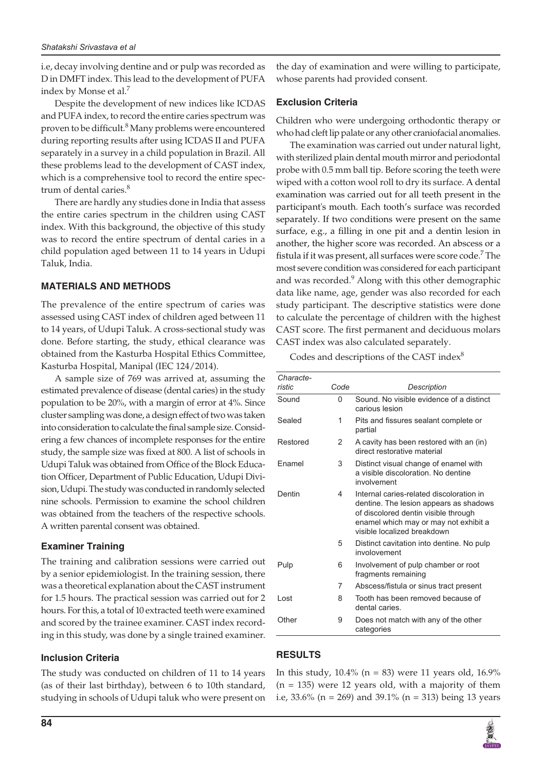i.e, decay involving dentine and or pulp was recorded as D in DMFT index. This lead to the development of PUFA index by Monse et al.7

Despite the development of new indices like ICDAS and PUFA index, to record the entire caries spectrum was proven to be difficult.<sup>8</sup> Many problems were encountered during reporting results after using ICDAS II and PUFA separately in a survey in a child population in Brazil. All these problems lead to the development of CAST index, which is a comprehensive tool to record the entire spectrum of dental caries.<sup>8</sup>

There are hardly any studies done in India that assess the entire caries spectrum in the children using CAST index. With this background, the objective of this study was to record the entire spectrum of dental caries in a child population aged between 11 to 14 years in Udupi Taluk, India.

# **MATERIALS AND METHODS**

The prevalence of the entire spectrum of caries was assessed using CAST index of children aged between 11 to 14 years, of Udupi Taluk. A cross-sectional study was done. Before starting, the study, ethical clearance was obtained from the Kasturba Hospital Ethics Committee, Kasturba Hospital, Manipal (IEC 124/2014).

A sample size of 769 was arrived at, assuming the estimated prevalence of disease (dental caries) in the study population to be 20%, with a margin of error at 4%. Since cluster sampling was done, a design effect of two was taken into consideration to calculate the final sample size. Considering a few chances of incomplete responses for the entire study, the sample size was fixed at 800. A list of schools in Udupi Taluk was obtained from Office of the Block Education Officer, Department of Public Education, Udupi Division, Udupi. The study was conducted in randomly selected nine schools. Permission to examine the school children was obtained from the teachers of the respective schools. A written parental consent was obtained.

## **Examiner Training**

The training and calibration sessions were carried out by a senior epidemiologist. In the training session, there was a theoretical explanation about the CAST instrument for 1.5 hours. The practical session was carried out for 2 hours. For this, a total of 10 extracted teeth were examined and scored by the trainee examiner. CAST index recording in this study, was done by a single trained examiner.

#### **Inclusion Criteria**

The study was conducted on children of 11 to 14 years (as of their last birthday), between 6 to 10th standard, studying in schools of Udupi taluk who were present on the day of examination and were willing to participate, whose parents had provided consent.

#### **Exclusion Criteria**

Children who were undergoing orthodontic therapy or who had cleft lip palate or any other craniofacial anomalies.

The examination was carried out under natural light, with sterilized plain dental mouth mirror and periodontal probe with 0.5 mm ball tip. Before scoring the teeth were wiped with a cotton wool roll to dry its surface. A dental examination was carried out for all teeth present in the participant's mouth. Each tooth's surface was recorded separately. If two conditions were present on the same surface, e.g., a filling in one pit and a dentin lesion in another, the higher score was recorded. An abscess or a fistula if it was present, all surfaces were score code.<sup>7</sup> The most severe condition was considered for each participant and was recorded.<sup>9</sup> Along with this other demographic data like name, age, gender was also recorded for each study participant. The descriptive statistics were done to calculate the percentage of children with the highest CAST score. The first permanent and deciduous molars CAST index was also calculated separately.

Codes and descriptions of the CAST index<sup>8</sup>

| Characte- |      |                                                                                                                                                                                                    |
|-----------|------|----------------------------------------------------------------------------------------------------------------------------------------------------------------------------------------------------|
| ristic    | Code | Description                                                                                                                                                                                        |
| Sound     | 0    | Sound. No visible evidence of a distinct<br>carious lesion                                                                                                                                         |
| Sealed    | 1    | Pits and fissures sealant complete or<br>partial                                                                                                                                                   |
| Restored  | 2    | A cavity has been restored with an (in)<br>direct restorative material                                                                                                                             |
| Fnamel    | 3    | Distinct visual change of enamel with<br>a visible discoloration. No dentine<br>involvement                                                                                                        |
| Dentin    | 4    | Internal caries-related discoloration in<br>dentine. The lesion appears as shadows<br>of discolored dentin visible through<br>enamel which may or may not exhibit a<br>visible localized breakdown |
|           | 5    | Distinct cavitation into dentine. No pulp<br>involovement                                                                                                                                          |
| Pulp      | 6    | Involvement of pulp chamber or root<br>fragments remaining                                                                                                                                         |
|           | 7    | Abscess/fistula or sinus tract present                                                                                                                                                             |
| Lost      | 8    | Tooth has been removed because of<br>dental caries.                                                                                                                                                |
| Other     | 9    | Does not match with any of the other<br>categories                                                                                                                                                 |

## **RESULTS**

In this study,  $10.4\%$  (n = 83) were 11 years old,  $16.9\%$ (n = 135) were 12 years old, with a majority of them i.e, 33.6% (n = 269) and 39.1% (n = 313) being 13 years

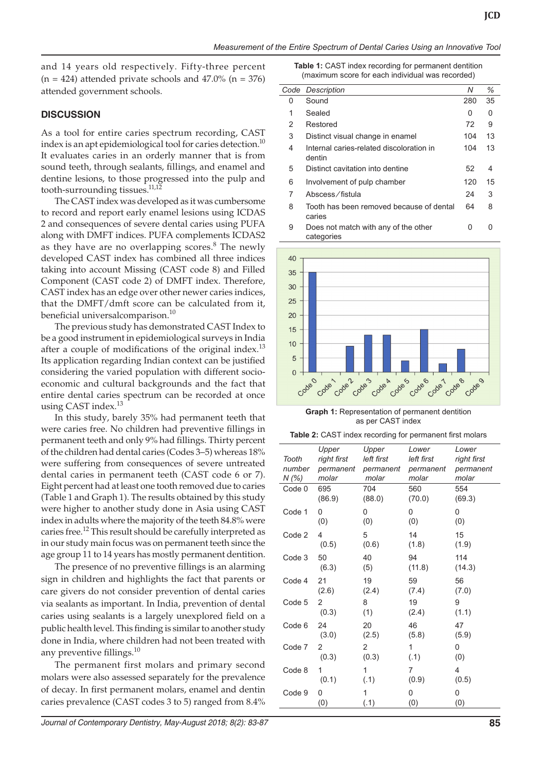and 14 years old respectively. Fifty-three percent  $(n = 424)$  attended private schools and 47.0%  $(n = 376)$ attended government schools.

#### **DISCUSSION**

As a tool for entire caries spectrum recording, CAST index is an apt epidemiological tool for caries detection. $10$ It evaluates caries in an orderly manner that is from sound teeth, through sealants, fillings, and enamel and dentine lesions, to those progressed into the pulp and tooth-surrounding tissues.11,12

The CAST index was developed as it was cumbersome to record and report early enamel lesions using ICDAS 2 and consequences of severe dental caries using PUFA along with DMFT indices. PUFA complements ICDAS2 as they have are no overlapping scores. $8$  The newly developed CAST index has combined all three indices taking into account Missing (CAST code 8) and Filled Component (CAST code 2) of DMFT index. Therefore, CAST index has an edge over other newer caries indices, that the DMFT/dmft score can be calculated from it, beneficial universalcomparison.<sup>10</sup>

The previous study has demonstrated CAST Index to be a good instrument in epidemiological surveys in India after a couple of modifications of the original index.<sup>13</sup> Its application regarding Indian context can be justified considering the varied population with different socioeconomic and cultural backgrounds and the fact that entire dental caries spectrum can be recorded at once using CAST index.<sup>13</sup>

In this study, barely 35% had permanent teeth that were caries free. No children had preventive fillings in permanent teeth and only 9% had fillings. Thirty percent of the children had dental caries (Codes 3–5) whereas 18% were suffering from consequences of severe untreated dental caries in permanent teeth (CAST code 6 or 7). Eight percent had at least one tooth removed due to caries (Table 1 and Graph 1). The results obtained by this study were higher to another study done in Asia using CAST index in adults where the majority of the teeth 84.8% were caries free.12 This result should be carefully interpreted as in our study main focus was on permanent teeth since the age group 11 to 14 years has mostly permanent dentition.

The presence of no preventive fillings is an alarming sign in children and highlights the fact that parents or care givers do not consider prevention of dental caries via sealants as important. In India, prevention of dental caries using sealants is a largely unexplored field on a public health level. This finding is similar to another study done in India, where children had not been treated with any preventive fillings.<sup>10</sup>

The permanent first molars and primary second molars were also assessed separately for the prevalence of decay. In first permanent molars, enamel and dentin caries prevalence (CAST codes 3 to 5) ranged from 8.4% **Table 1:** CAST index recording for permanent dentition (maximum score for each individual was recorded)

|   | Code Description                                   | Ν   | %  |
|---|----------------------------------------------------|-----|----|
| 0 | Sound                                              | 280 | 35 |
| 1 | Sealed                                             | 0   | 0  |
| 2 | Restored                                           | 72  | 9  |
| 3 | Distinct visual change in enamel                   | 104 | 13 |
| 4 | Internal caries-related discoloration in<br>dentin | 104 | 13 |
| 5 | Distinct cavitation into dentine                   | 52  | 4  |
| 6 | Involvement of pulp chamber                        | 120 | 15 |
| 7 | Abscess/fistula                                    | 24  | 3  |
| 8 | Tooth has been removed because of dental<br>caries | 64  | 8  |
| 9 | Does not match with any of the other<br>categories | 0   |    |



**Graph 1:** Representation of permanent dentition as per CAST index

| Table 2: CAST index recording for permanent first molars |  |
|----------------------------------------------------------|--|
|----------------------------------------------------------|--|

| Tooth<br>number<br>N (%) | Upper<br>right first<br>permanent<br>molar | Upper<br>left first<br>permanent<br>molar | Lower<br>left first<br>permanent<br>molar | Lower<br>right first<br>permanent<br>molar |
|--------------------------|--------------------------------------------|-------------------------------------------|-------------------------------------------|--------------------------------------------|
| Code 0                   | 695                                        | 704                                       | 560                                       | 554                                        |
|                          | (86.9)                                     | (88.0)                                    | (70.0)                                    | (69.3)                                     |
| Code 1                   | 0                                          | 0                                         | 0                                         | 0                                          |
|                          | (0)                                        | (0)                                       | (0)                                       | (0)                                        |
| Code 2                   | 4                                          | 5                                         | 14                                        | 15                                         |
|                          | (0.5)                                      | (0.6)                                     | (1.8)                                     | (1.9)                                      |
| Code 3                   | 50                                         | 40                                        | 94                                        | 114                                        |
|                          | (6.3)                                      | (5)                                       | (11.8)                                    | (14.3)                                     |
| Code 4                   | 21                                         | 19                                        | 59                                        | 56                                         |
|                          | (2.6)                                      | (2.4)                                     | (7.4)                                     | (7.0)                                      |
| Code 5                   | 2                                          | 8                                         | 19                                        | 9                                          |
|                          | (0.3)                                      | (1)                                       | (2.4)                                     | (1.1)                                      |
| Code 6                   | 24                                         | 20                                        | 46                                        | 47                                         |
|                          | (3.0)                                      | (2.5)                                     | (5.8)                                     | (5.9)                                      |
| Code 7                   | 2                                          | $\overline{2}$                            | 1                                         | 0                                          |
|                          | (0.3)                                      | (0.3)                                     | (.1)                                      | (0)                                        |
| Code 8                   | 1                                          | 1                                         | 7                                         | 4                                          |
|                          | (0.1)                                      | (.1)                                      | (0.9)                                     | (0.5)                                      |
| Code 9                   | 0                                          | 1                                         | 0                                         | 0                                          |
|                          | (0)                                        | (.1)                                      | (0)                                       | (0)                                        |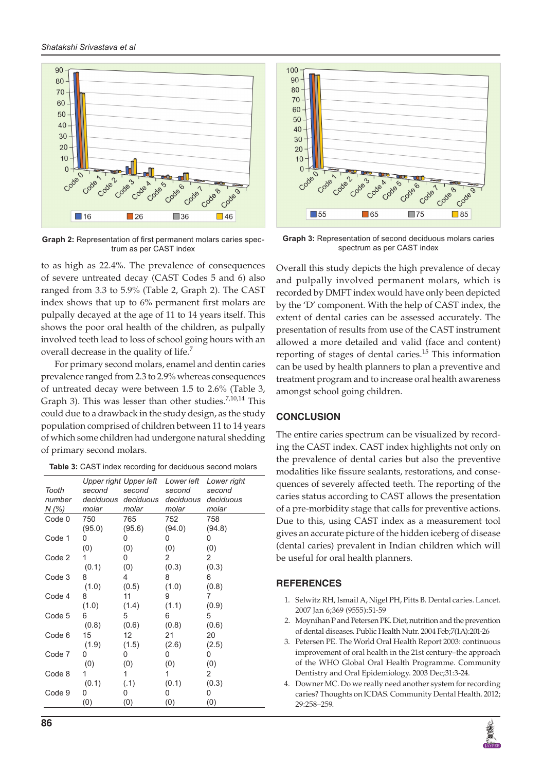

**Graph 2:** Representation of first permanent molars caries spectrum as per CAST index

to as high as 22.4%. The prevalence of consequences of severe untreated decay (CAST Codes 5 and 6) also ranged from 3.3 to 5.9% (Table 2, Graph 2). The CAST index shows that up to 6% permanent first molars are pulpally decayed at the age of 11 to 14 years itself. This shows the poor oral health of the children, as pulpally involved teeth lead to loss of school going hours with an overall decrease in the quality of life.<sup>7</sup>

For primary second molars, enamel and dentin caries prevalence ranged from 2.3 to 2.9% whereas consequences of untreated decay were between 1.5 to 2.6% (Table 3, Graph 3). This was lesser than other studies. $7,10,14$  This could due to a drawback in the study design, as the study population comprised of children between 11 to 14 years of which some children had undergone natural shedding of primary second molars.

| Table 3: CAST index recording for deciduous second molars |  |
|-----------------------------------------------------------|--|
|-----------------------------------------------------------|--|

| Tooth<br>number<br>N(%) | second<br>molar | Upper right Upper left<br>second<br>deciduous deciduous<br>molar | Lower left<br>second<br>deciduous<br>molar | Lower right<br>second<br>deciduous<br>molar |
|-------------------------|-----------------|------------------------------------------------------------------|--------------------------------------------|---------------------------------------------|
| Code 0                  | 750             | 765                                                              | 752                                        | 758                                         |
|                         | (95.0)          | (95.6)                                                           | (94.0)                                     | (94.8)                                      |
| Code 1                  | 0               | 0                                                                | 0                                          | 0                                           |
|                         | (0)             | (0)                                                              | (0)                                        | (0)                                         |
| Code 2                  | 1               | 0                                                                | 2                                          | 2                                           |
|                         | (0.1)           | (0)                                                              | (0.3)                                      | (0.3)                                       |
| Code 3                  | 8               | 4                                                                | 8                                          | 6                                           |
|                         | (1.0)           | (0.5)                                                            | (1.0)                                      | (0.8)                                       |
| Code 4                  | 8               | 11                                                               | 9                                          | 7                                           |
|                         | (1.0)           | (1.4)                                                            | (1.1)                                      | (0.9)                                       |
| Code 5                  | 6               | 5                                                                | 6                                          | 5                                           |
|                         | (0.8)           | (0.6)                                                            | (0.8)                                      | (0.6)                                       |
| Code 6                  | 15              | 12 <sup>°</sup>                                                  | 21                                         | 20                                          |
|                         | (1.9)           | (1.5)                                                            | (2.6)                                      | (2.5)                                       |
| Code 7                  | 0               | 0                                                                | 0                                          | 0                                           |
|                         | (0)             | (0)                                                              | (0)                                        | (0)                                         |
| Code 8                  |                 | 1                                                                | 1                                          | 2                                           |
|                         | (0.1)           | (.1)                                                             | (0.1)                                      | (0.3)                                       |
| Code 9                  | 0               | 0                                                                | 0                                          | 0                                           |
|                         | (0)             | (0)                                                              | (0)                                        | (0)                                         |



100

90

80

70

60

50

40

30

20

 $10$  $\mathbf 0$ 

 $\overline{O}$ 

by the 'D' component. With the help of CAST index, the extent of dental caries can be assessed accurately. The presentation of results from use of the CAST instrument allowed a more detailed and valid (face and content) reporting of stages of dental caries. $15$  This information can be used by health planners to plan a preventive and treatment program and to increase oral health awareness amongst school going children.

 $\mathcal{L}$ Code

 $\Box$ 75

ę

Code

 $\Box$  85

## **CONCLUSION**

The entire caries spectrum can be visualized by recording the CAST index. CAST index highlights not only on the prevalence of dental caries but also the preventive modalities like fissure sealants, restorations, and consequences of severely affected teeth. The reporting of the caries status according to CAST allows the presentation of a pre-morbidity stage that calls for preventive actions. Due to this, using CAST index as a measurement tool gives an accurate picture of the hidden iceberg of disease (dental caries) prevalent in Indian children which will be useful for oral health planners.

## **REFERENCES**

- 1. Selwitz RH, Ismail A, Nigel PH, Pitts B. Dental caries. [Lancet.](https://www.ncbi.nlm.nih.gov/pubmed/17208642) 2007 Jan 6;369 (9555):51-59
- 2. Moynihan P and Petersen PK. Diet, nutrition and the prevention of dental diseases. Public Health Nutr. 2004 Feb;7(1A):201-26
- 3. Petersen PE. The World Oral Health Report 2003: continuous improvement of oral health in the 21st century–the approach of the WHO Global Oral Health Programme. Community Dentistry and Oral Epidemiology. 2003 Dec;31:3-24.
- 4. Downer MC. Do we really need another system for recording caries? Thoughts on ICDAS. Community Dental Health. 2012; 29:258–259.